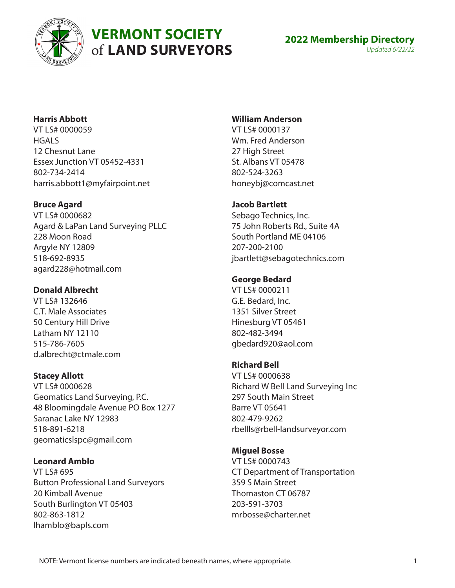

# **VERMONT SOCIETY** of **LAND SURVEYORS**

# **Harris Abbott**

VT LS# 0000059 **HGALS** 12 Chesnut Lane Essex Junction VT 05452-4331 802-734-2414 harris.abbott1@myfairpoint.net

# **Bruce Agard**

VT LS# 0000682 Agard & LaPan Land Surveying PLLC 228 Moon Road Argyle NY 12809 518-692-8935 agard228@hotmail.com

# **Donald Albrecht**

VT LS# 132646 C.T. Male Associates 50 Century Hill Drive Latham NY 12110 515-786-7605 d.albrecht@ctmale.com

# **Stacey Allott**

VT LS# 0000628 Geomatics Land Surveying, P.C. 48 Bloomingdale Avenue PO Box 1277 Saranac Lake NY 12983 518-891-6218 geomaticslspc@gmail.com

# **Leonard Amblo**

VT LS# 695 Button Professional Land Surveyors 20 Kimball Avenue South Burlington VT 05403 802-863-1812 lhamblo@bapls.com

# **William Anderson**

VT LS# 0000137 Wm. Fred Anderson 27 High Street St. Albans VT 05478 802-524-3263 honeybj@comcast.net

## **Jacob Bartlett**

Sebago Technics, Inc. 75 John Roberts Rd., Suite 4A South Portland ME 04106 207-200-2100 jbartlett@sebagotechnics.com

# **George Bedard**

VT LS# 0000211 G.E. Bedard, Inc. 1351 Silver Street Hinesburg VT 05461 802-482-3494 gbedard920@aol.com

## **Richard Bell**

VT LS# 0000638 Richard W Bell Land Surveying Inc 297 South Main Street Barre VT 05641 802-479-9262 rbellls@rbell-landsurveyor.com

# **Miguel Bosse**

VT LS# 0000743 CT Department of Transportation 359 S Main Street Thomaston CT 06787 203-591-3703 mrbosse@charter.net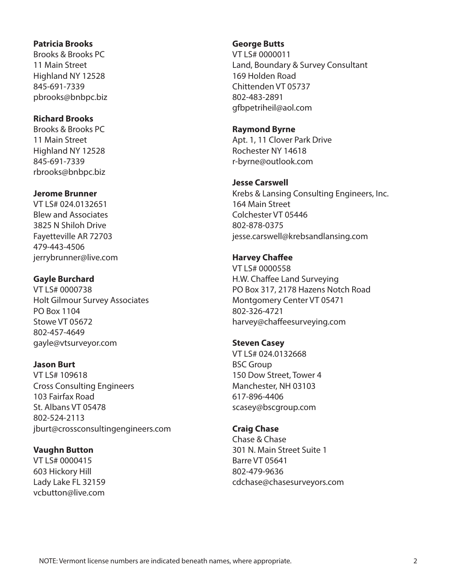#### **Patricia Brooks**

Brooks & Brooks PC 11 Main Street Highland NY 12528 845-691-7339 pbrooks@bnbpc.biz

#### **Richard Brooks**

Brooks & Brooks PC 11 Main Street Highland NY 12528 845-691-7339 rbrooks@bnbpc.biz

#### **Jerome Brunner**

VT LS# 024.0132651 Blew and Associates 3825 N Shiloh Drive Fayetteville AR 72703 479-443-4506 jerrybrunner@live.com

## **Gayle Burchard**

VT LS# 0000738 Holt Gilmour Survey Associates PO Box 1104 Stowe VT 05672 802-457-4649 gayle@vtsurveyor.com

#### **Jason Burt**

VT LS# 109618 Cross Consulting Engineers 103 Fairfax Road St. Albans VT 05478 802-524-2113 jburt@crossconsultingengineers.com

#### **Vaughn Button**

VT LS# 0000415 603 Hickory Hill Lady Lake FL 32159 vcbutton@live.com

#### **George Butts**

VT LS# 0000011 Land, Boundary & Survey Consultant 169 Holden Road Chittenden VT 05737 802-483-2891 gfbpetriheil@aol.com

#### **Raymond Byrne**

Apt. 1, 11 Clover Park Drive Rochester NY 14618 r-byrne@outlook.com

#### **Jesse Carswell**

Krebs & Lansing Consulting Engineers, Inc. 164 Main Street Colchester VT 05446 802-878-0375 jesse.carswell@krebsandlansing.com

## **Harvey Chaffee**

VT LS# 0000558 H.W. Chaffee Land Surveying PO Box 317, 2178 Hazens Notch Road Montgomery Center VT 05471 802-326-4721 harvey@chaffeesurveying.com

## **Steven Casey**

VT LS# 024.0132668 BSC Group 150 Dow Street, Tower 4 Manchester, NH 03103 617-896-4406 scasey@bscgroup.com

#### **Craig Chase**

Chase & Chase 301 N. Main Street Suite 1 Barre VT 05641 802-479-9636 cdchase@chasesurveyors.com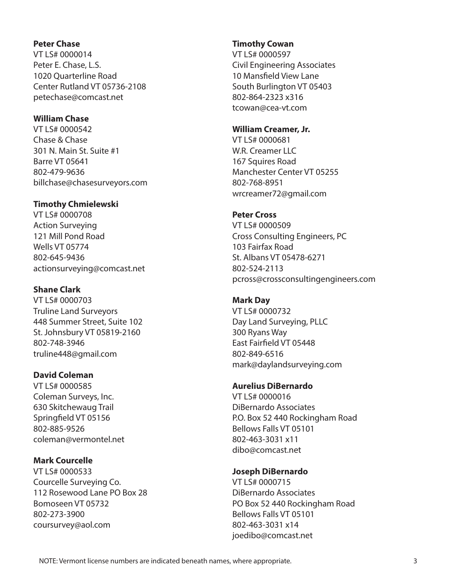#### **Peter Chase**

VT LS# 0000014 Peter E. Chase, L.S. 1020 Quarterline Road Center Rutland VT 05736-2108 petechase@comcast.net

## **William Chase**

VT LS# 0000542 Chase & Chase 301 N. Main St. Suite #1 Barre VT 05641 802-479-9636 billchase@chasesurveyors.com

## **Timothy Chmielewski**

VT LS# 0000708 Action Surveying 121 Mill Pond Road Wells VT 05774 802-645-9436 actionsurveying@comcast.net

# **Shane Clark**

VT LS# 0000703 Truline Land Surveyors 448 Summer Street, Suite 102 St. Johnsbury VT 05819-2160 802-748-3946 truline448@gmail.com

# **David Coleman**

VT LS# 0000585 Coleman Surveys, Inc. 630 Skitchewaug Trail Springfield VT 05156 802-885-9526 coleman@vermontel.net

## **Mark Courcelle**

VT LS# 0000533 Courcelle Surveying Co. 112 Rosewood Lane PO Box 28 Bomoseen VT 05732 802-273-3900 coursurvey@aol.com

## **Timothy Cowan**

VT LS# 0000597 Civil Engineering Associates 10 Mansfield View Lane South Burlington VT 05403 802-864-2323 x316 tcowan@cea-vt.com

#### **William Creamer, Jr.**

VT LS# 0000681 W.R. Creamer LLC 167 Squires Road Manchester Center VT 05255 802-768-8951 wrcreamer72@gmail.com

## **Peter Cross**

VT LS# 0000509 Cross Consulting Engineers, PC 103 Fairfax Road St. Albans VT 05478-6271 802-524-2113 pcross@crossconsultingengineers.com

# **Mark Day**

VT LS# 0000732 Day Land Surveying, PLLC 300 Ryans Way East Fairfield VT 05448 802-849-6516 mark@daylandsurveying.com

# **Aurelius DiBernardo**

VT LS# 0000016 DiBernardo Associates P.O. Box 52 440 Rockingham Road Bellows Falls VT 05101 802-463-3031 x11 dibo@comcast.net

## **Joseph DiBernardo**

VT LS# 0000715 DiBernardo Associates PO Box 52 440 Rockingham Road Bellows Falls VT 05101 802-463-3031 x14 joedibo@comcast.net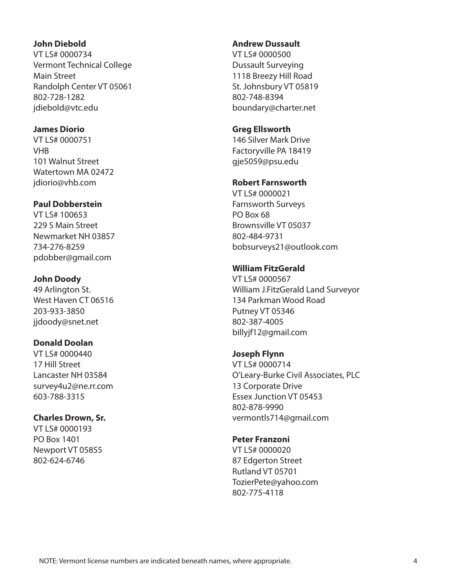#### **John Diebold**

VT LS# 0000734 Vermont Technical College Main Street Randolph Center VT 05061 802-728-1282 jdiebold@vtc.edu

## **James Diorio**

VT LS# 0000751 VHB 101 Walnut Street Watertown MA 02472 jdiorio@vhb.com

## **Paul Dobberstein**

VT LS# 100653 229 S Main Street Newmarket NH 03857 734-276-8259 pdobber@gmail.com

## **John Doody**

49 Arlington St. West Haven CT 06516 203-933-3850 jjdoody@snet.net

# **Donald Doolan**

VT LS# 0000440 17 Hill Street Lancaster NH 03584 survey4u2@ne.rr.com 603-788-3315

## **Charles Drown, Sr.**

VT LS# 0000193 PO Box 1401 Newport VT 05855 802-624-6746

#### **Andrew Dussault**

VT LS# 0000500 Dussault Surveying 1118 Breezy Hill Road St. Johnsbury VT 05819 802-748-8394 boundary@charter.net

#### **Greg Ellsworth**

146 Silver Mark Drive Factoryville PA 18419 gje5059@psu.edu

#### **Robert Farnsworth**

VT LS# 0000021 Farnsworth Surveys PO Box 68 Brownsville VT 05037 802-484-9731 bobsurveys21@outlook.com

## **William FitzGerald**

VT LS# 0000567 William J.FitzGerald Land Surveyor 134 Parkman Wood Road Putney VT 05346 802-387-4005 billyjf12@gmail.com

#### **Joseph Flynn**

VT LS# 0000714 O'Leary-Burke Civil Associates, PLC 13 Corporate Drive Essex Junction VT 05453 802-878-9990 vermontls714@gmail.com

#### **Peter Franzoni**

VT LS# 0000020 87 Edgerton Street Rutland VT 05701 TozierPete@yahoo.com 802-775-4118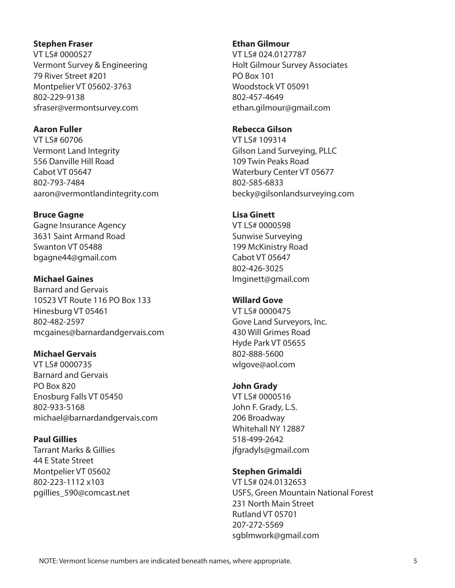#### **Stephen Fraser**

VT LS# 0000527 Vermont Survey & Engineering 79 River Street #201 Montpelier VT 05602-3763 802-229-9138 sfraser@vermontsurvey.com

#### **Aaron Fuller**

VT LS# 60706 Vermont Land Integrity 556 Danville Hill Road Cabot VT 05647 802-793-7484 aaron@vermontlandintegrity.com

#### **Bruce Gagne**

Gagne Insurance Agency 3631 Saint Armand Road Swanton VT 05488 bgagne44@gmail.com

## **Michael Gaines**

Barnard and Gervais 10523 VT Route 116 PO Box 133 Hinesburg VT 05461 802-482-2597 mcgaines@barnardandgervais.com

## **Michael Gervais**

VT LS# 0000735 Barnard and Gervais PO Box 820 Enosburg Falls VT 05450 802-933-5168 michael@barnardandgervais.com

## **Paul Gillies**

Tarrant Marks & Gillies 44 E State Street Montpelier VT 05602 802-223-1112 x103 pgillies\_590@comcast.net

#### **Ethan Gilmour**

VT LS# 024.0127787 Holt Gilmour Survey Associates PO Box 101 Woodstock VT 05091 802-457-4649 ethan.gilmour@gmail.com

#### **Rebecca Gilson**

VT LS# 109314 Gilson Land Surveying, PLLC 109 Twin Peaks Road Waterbury Center VT 05677 802-585-6833 becky@gilsonlandsurveying.com

#### **Lisa Ginett**

VT LS# 0000598 Sunwise Surveying 199 McKinistry Road Cabot VT 05647 802-426-3025 lmginett@gmail.com

## **Willard Gove**

VT LS# 0000475 Gove Land Surveyors, Inc. 430 Will Grimes Road Hyde Park VT 05655 802-888-5600 wlgove@aol.com

## **John Grady**

VT LS# 0000516 John F. Grady, L.S. 206 Broadway Whitehall NY 12887 518-499-2642 jfgradyls@gmail.com

# **Stephen Grimaldi**

VT LS# 024.0132653 USFS, Green Mountain National Forest 231 North Main Street Rutland VT 05701 207-272-5569 sgblmwork@gmail.com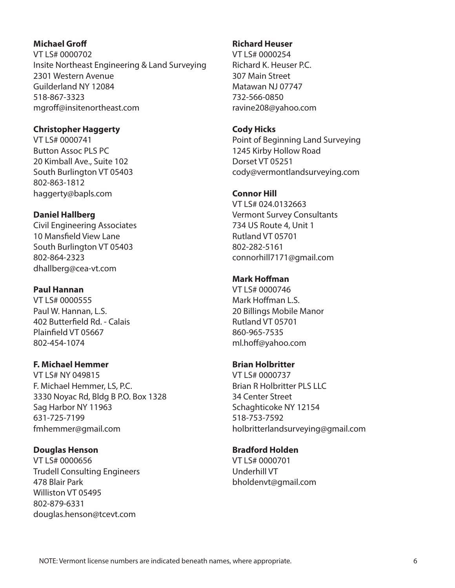## **Michael Groff**

VT LS# 0000702 Insite Northeast Engineering & Land Surveying 2301 Western Avenue Guilderland NY 12084 518-867-3323 mgroff@insitenortheast.com

#### **Christopher Haggerty**

VT LS# 0000741 Button Assoc PLS PC 20 Kimball Ave., Suite 102 South Burlington VT 05403 802-863-1812 haggerty@bapls.com

#### **Daniel Hallberg**

Civil Engineering Associates 10 Mansfield View Lane South Burlington VT 05403 802-864-2323 dhallberg@cea-vt.com

## **Paul Hannan**

VT LS# 0000555 Paul W. Hannan, L.S. 402 Butterfield Rd. - Calais Plainfield VT 05667 802-454-1074

## **F. Michael Hemmer**

VT LS# NY 049815 F. Michael Hemmer, LS, P.C. 3330 Noyac Rd, Bldg B P.O. Box 1328 Sag Harbor NY 11963 631-725-7199 fmhemmer@gmail.com

#### **Douglas Henson**

VT LS# 0000656 Trudell Consulting Engineers 478 Blair Park Williston VT 05495 802-879-6331 douglas.henson@tcevt.com

#### **Richard Heuser**

VT LS# 0000254 Richard K. Heuser P.C. 307 Main Street Matawan NJ 07747 732-566-0850 ravine208@yahoo.com

#### **Cody Hicks**

Point of Beginning Land Surveying 1245 Kirby Hollow Road Dorset VT 05251 cody@vermontlandsurveying.com

## **Connor Hill**

VT LS# 024.0132663 Vermont Survey Consultants 734 US Route 4, Unit 1 Rutland VT 05701 802-282-5161 connorhill7171@gmail.com

#### **Mark Hoffman**

VT LS# 0000746 Mark Hoffman L.S. 20 Billings Mobile Manor Rutland VT 05701 860-965-7535 ml.hoff@yahoo.com

#### **Brian Holbritter**

VT LS# 0000737 Brian R Holbritter PLS LLC 34 Center Street Schaghticoke NY 12154 518-753-7592 holbritterlandsurveying@gmail.com

#### **Bradford Holden**

VT LS# 0000701 Underhill VT bholdenvt@gmail.com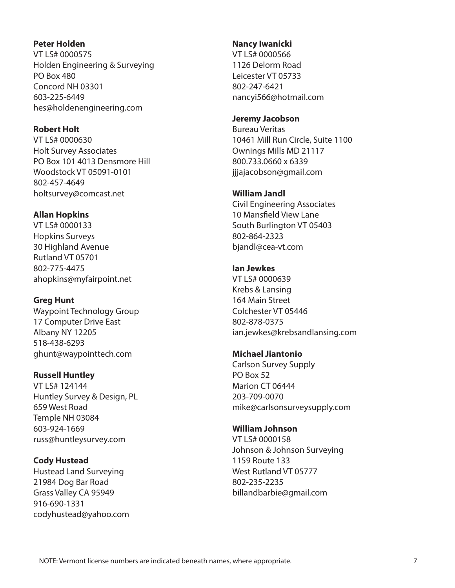#### **Peter Holden**

VT LS# 0000575 Holden Engineering & Surveying PO Box 480 Concord NH 03301 603-225-6449 hes@holdenengineering.com

## **Robert Holt**

VT LS# 0000630 Holt Survey Associates PO Box 101 4013 Densmore Hill Woodstock VT 05091-0101 802-457-4649 holtsurvey@comcast.net

## **Allan Hopkins**

VT LS# 0000133 Hopkins Surveys 30 Highland Avenue Rutland VT 05701 802-775-4475 ahopkins@myfairpoint.net

## **Greg Hunt**

Waypoint Technology Group 17 Computer Drive East Albany NY 12205 518-438-6293 ghunt@waypointtech.com

## **Russell Huntley**

VT LS# 124144 Huntley Survey & Design, PL 659 West Road Temple NH 03084 603-924-1669 russ@huntleysurvey.com

## **Cody Hustead**

Hustead Land Surveying 21984 Dog Bar Road Grass Valley CA 95949 916-690-1331 codyhustead@yahoo.com

#### **Nancy Iwanicki**

VT LS# 0000566 1126 Delorm Road Leicester VT 05733 802-247-6421 nancyi566@hotmail.com

#### **Jeremy Jacobson**

Bureau Veritas 10461 Mill Run Circle, Suite 1100 Ownings Mills MD 21117 800.733.0660 x 6339 jjjajacobson@gmail.com

## **William Jandl**

Civil Engineering Associates 10 Mansfield View Lane South Burlington VT 05403 802-864-2323 bjandl@cea-vt.com

## **Ian Jewkes**

VT LS# 0000639 Krebs & Lansing 164 Main Street Colchester VT 05446 802-878-0375 ian.jewkes@krebsandlansing.com

## **Michael Jiantonio**

Carlson Survey Supply PO Box 52 Marion CT 06444 203-709-0070 mike@carlsonsurveysupply.com

## **William Johnson**

VT LS# 0000158 Johnson & Johnson Surveying 1159 Route 133 West Rutland VT 05777 802-235-2235 billandbarbie@gmail.com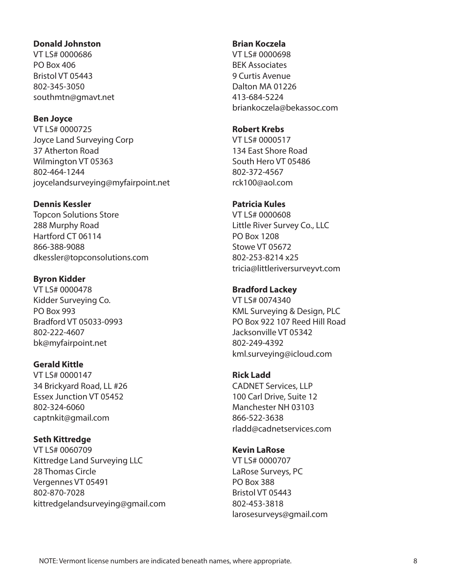#### **Donald Johnston**

VT LS# 0000686 PO Box 406 Bristol VT 05443 802-345-3050 southmtn@gmavt.net

#### **Ben Joyce**

VT LS# 0000725 Joyce Land Surveying Corp 37 Atherton Road Wilmington VT 05363 802-464-1244 joycelandsurveying@myfairpoint.net

## **Dennis Kessler**

Topcon Solutions Store 288 Murphy Road Hartford CT 06114 866-388-9088 dkessler@topconsolutions.com

## **Byron Kidder**

VT LS# 0000478 Kidder Surveying Co. PO Box 993 Bradford VT 05033-0993 802-222-4607 bk@myfairpoint.net

## **Gerald Kittle**

VT LS# 0000147 34 Brickyard Road, LL #26 Essex Junction VT 05452 802-324-6060 captnkit@gmail.com

# **Seth Kittredge**

VT LS# 0060709 Kittredge Land Surveying LLC 28 Thomas Circle Vergennes VT 05491 802-870-7028 kittredgelandsurveying@gmail.com

## **Brian Koczela**

VT LS# 0000698 BEK Associates 9 Curtis Avenue Dalton MA 01226 413-684-5224 briankoczela@bekassoc.com

#### **Robert Krebs**

VT LS# 0000517 134 East Shore Road South Hero VT 05486 802-372-4567 rck100@aol.com

## **Patricia Kules**

VT LS# 0000608 Little River Survey Co., LLC PO Box 1208 Stowe VT 05672 802-253-8214 x25 tricia@littleriversurveyvt.com

## **Bradford Lackey**

VT LS# 0074340 KML Surveying & Design, PLC PO Box 922 107 Reed Hill Road Jacksonville VT 05342 802-249-4392 kml.surveying@icloud.com

# **Rick Ladd**

CADNET Services, LLP 100 Carl Drive, Suite 12 Manchester NH 03103 866-522-3638 rladd@cadnetservices.com

# **Kevin LaRose**

VT LS# 0000707 LaRose Surveys, PC PO Box 388 Bristol VT 05443 802-453-3818 larosesurveys@gmail.com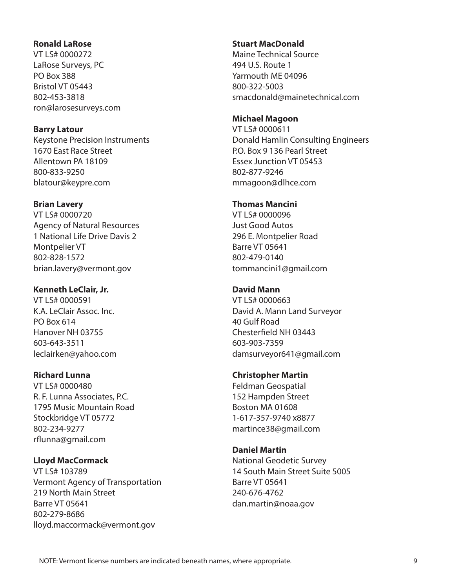#### **Ronald LaRose**

VT LS# 0000272 LaRose Surveys, PC PO Box 388 Bristol VT 05443 802-453-3818 ron@larosesurveys.com

#### **Barry Latour**

Keystone Precision Instruments 1670 East Race Street Allentown PA 18109 800-833-9250 blatour@keypre.com

## **Brian Lavery**

VT LS# 0000720 Agency of Natural Resources 1 National Life Drive Davis 2 Montpelier VT 802-828-1572 brian.lavery@vermont.gov

## **Kenneth LeClair, Jr.**

VT LS# 0000591 K.A. LeClair Assoc. Inc. PO Box 614 Hanover NH 03755 603-643-3511 leclairken@yahoo.com

## **Richard Lunna**

VT LS# 0000480 R. F. Lunna Associates, P.C. 1795 Music Mountain Road Stockbridge VT 05772 802-234-9277 rflunna@gmail.com

## **Lloyd MacCormack**

VT LS# 103789 Vermont Agency of Transportation 219 North Main Street Barre VT 05641 802-279-8686 lloyd.maccormack@vermont.gov

#### **Stuart MacDonald**

Maine Technical Source 494 U.S. Route 1 Yarmouth ME 04096 800-322-5003 smacdonald@mainetechnical.com

#### **Michael Magoon**

VT LS# 0000611 Donald Hamlin Consulting Engineers P.O. Box 9 136 Pearl Street Essex Junction VT 05453 802-877-9246 mmagoon@dlhce.com

#### **Thomas Mancini**

VT LS# 0000096 Just Good Autos 296 E. Montpelier Road Barre VT 05641 802-479-0140 tommancini1@gmail.com

## **David Mann**

VT LS# 0000663 David A. Mann Land Surveyor 40 Gulf Road Chesterfield NH 03443 603-903-7359 damsurveyor641@gmail.com

## **Christopher Martin**

Feldman Geospatial 152 Hampden Street Boston MA 01608 1-617-357-9740 x8877 martince38@gmail.com

## **Daniel Martin**

National Geodetic Survey 14 South Main Street Suite 5005 Barre VT 05641 240-676-4762 dan.martin@noaa.gov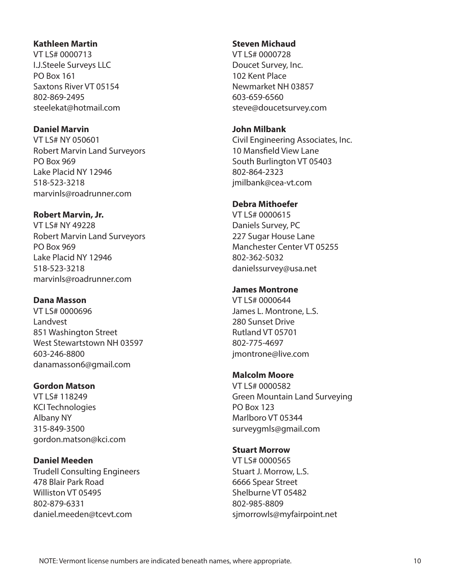#### **Kathleen Martin**

VT LS# 0000713 I.J.Steele Surveys LLC PO Box 161 Saxtons River VT 05154 802-869-2495 steelekat@hotmail.com

## **Daniel Marvin**

VT LS# NY 050601 Robert Marvin Land Surveyors PO Box 969 Lake Placid NY 12946 518-523-3218 marvinls@roadrunner.com

## **Robert Marvin, Jr.**

VT LS# NY 49228 Robert Marvin Land Surveyors PO Box 969 Lake Placid NY 12946 518-523-3218 marvinls@roadrunner.com

# **Dana Masson**

VT LS# 0000696 Landvest 851 Washington Street West Stewartstown NH 03597 603-246-8800 danamasson6@gmail.com

# **Gordon Matson**

VT LS# 118249 KCI Technologies Albany NY 315-849-3500 gordon.matson@kci.com

# **Daniel Meeden**

Trudell Consulting Engineers 478 Blair Park Road Williston VT 05495 802-879-6331 daniel.meeden@tcevt.com

## **Steven Michaud**

VT LS# 0000728 Doucet Survey, Inc. 102 Kent Place Newmarket NH 03857 603-659-6560 steve@doucetsurvey.com

#### **John Milbank**

Civil Engineering Associates, Inc. 10 Mansfield View Lane South Burlington VT 05403 802-864-2323 jmilbank@cea-vt.com

## **Debra Mithoefer**

VT LS# 0000615 Daniels Survey, PC 227 Sugar House Lane Manchester Center VT 05255 802-362-5032 danielssurvey@usa.net

## **James Montrone**

VT LS# 0000644 James L. Montrone, L.S. 280 Sunset Drive Rutland VT 05701 802-775-4697 jmontrone@live.com

## **Malcolm Moore**

VT LS# 0000582 Green Mountain Land Surveying PO Box 123 Marlboro VT 05344 surveygmls@gmail.com

# **Stuart Morrow**

VT LS# 0000565 Stuart J. Morrow, L.S. 6666 Spear Street Shelburne VT 05482 802-985-8809 sjmorrowls@myfairpoint.net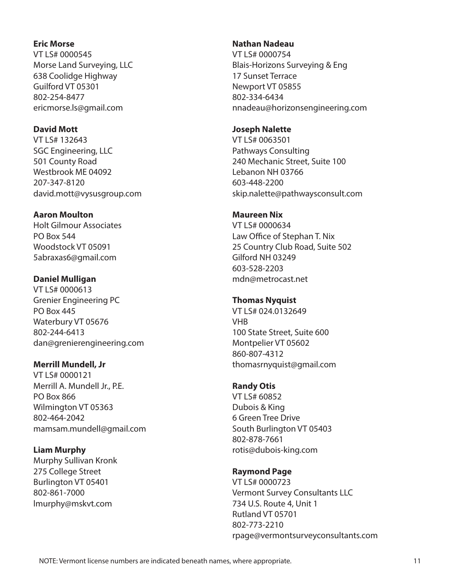#### **Eric Morse**

VT LS# 0000545 Morse Land Surveying, LLC 638 Coolidge Highway Guilford VT 05301 802-254-8477 ericmorse.ls@gmail.com

#### **David Mott**

VT LS# 132643 SGC Engineering, LLC 501 County Road Westbrook ME 04092 207-347-8120 david.mott@vysusgroup.com

#### **Aaron Moulton**

Holt Gilmour Associates PO Box 544 Woodstock VT 05091 5abraxas6@gmail.com

## **Daniel Mulligan**

VT LS# 0000613 Grenier Engineering PC PO Box 445 Waterbury VT 05676 802-244-6413 dan@grenierengineering.com

## **Merrill Mundell, Jr**

VT LS# 0000121 Merrill A. Mundell Jr., P.E. PO Box 866 Wilmington VT 05363 802-464-2042 mamsam.mundell@gmail.com

## **Liam Murphy**

Murphy Sullivan Kronk 275 College Street Burlington VT 05401 802-861-7000 lmurphy@mskvt.com

#### **Nathan Nadeau**

VT LS# 0000754 Blais-Horizons Surveying & Eng 17 Sunset Terrace Newport VT 05855 802-334-6434 nnadeau@horizonsengineering.com

#### **Joseph Nalette**

VT LS# 0063501 Pathways Consulting 240 Mechanic Street, Suite 100 Lebanon NH 03766 603-448-2200 skip.nalette@pathwaysconsult.com

#### **Maureen Nix**

VT LS# 0000634 Law Office of Stephan T. Nix 25 Country Club Road, Suite 502 Gilford NH 03249 603-528-2203 mdn@metrocast.net

## **Thomas Nyquist**

VT LS# 024.0132649 **VHR** 100 State Street, Suite 600 Montpelier VT 05602 860-807-4312 thomasrnyquist@gmail.com

## **Randy Otis**

VT LS# 60852 Dubois & King 6 Green Tree Drive South Burlington VT 05403 802-878-7661 rotis@dubois-king.com

# **Raymond Page**

VT LS# 0000723 Vermont Survey Consultants LLC 734 U.S. Route 4, Unit 1 Rutland VT 05701 802-773-2210 rpage@vermontsurveyconsultants.com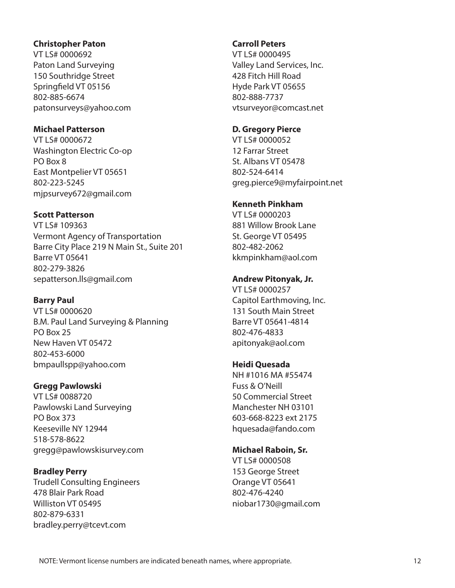#### **Christopher Paton**

VT LS# 0000692 Paton Land Surveying 150 Southridge Street Springfield VT 05156 802-885-6674 patonsurveys@yahoo.com

## **Michael Patterson**

VT LS# 0000672 Washington Electric Co-op PO Box 8 East Montpelier VT 05651 802-223-5245 mjpsurvey672@gmail.com

## **Scott Patterson**

VT LS# 109363 Vermont Agency of Transportation Barre City Place 219 N Main St., Suite 201 Barre VT 05641 802-279-3826 sepatterson.lls@gmail.com

# **Barry Paul**

VT LS# 0000620 B.M. Paul Land Surveying & Planning PO Box 25 New Haven VT 05472 802-453-6000 bmpaullspp@yahoo.com

# **Gregg Pawlowski**

VT LS# 0088720 Pawlowski Land Surveying PO Box 373 Keeseville NY 12944 518-578-8622 gregg@pawlowskisurvey.com

# **Bradley Perry**

Trudell Consulting Engineers 478 Blair Park Road Williston VT 05495 802-879-6331 bradley.perry@tcevt.com

## **Carroll Peters**

VT LS# 0000495 Valley Land Services, Inc. 428 Fitch Hill Road Hyde Park VT 05655 802-888-7737 vtsurveyor@comcast.net

## **D. Gregory Pierce**

VT LS# 0000052 12 Farrar Street St. Albans VT 05478 802-524-6414 greg.pierce9@myfairpoint.net

## **Kenneth Pinkham**

VT LS# 0000203 881 Willow Brook Lane St. George VT 05495 802-482-2062 kkmpinkham@aol.com

# **Andrew Pitonyak, Jr.**

VT LS# 0000257 Capitol Earthmoving, Inc. 131 South Main Street Barre VT 05641-4814 802-476-4833 apitonyak@aol.com

## **Heidi Quesada**

NH #1016 MA #55474 Fuss & O'Neill 50 Commercial Street Manchester NH 03101 603-668-8223 ext 2175 hquesada@fando.com

# **Michael Raboin, Sr.**

VT LS# 0000508 153 George Street Orange VT 05641 802-476-4240 niobar1730@gmail.com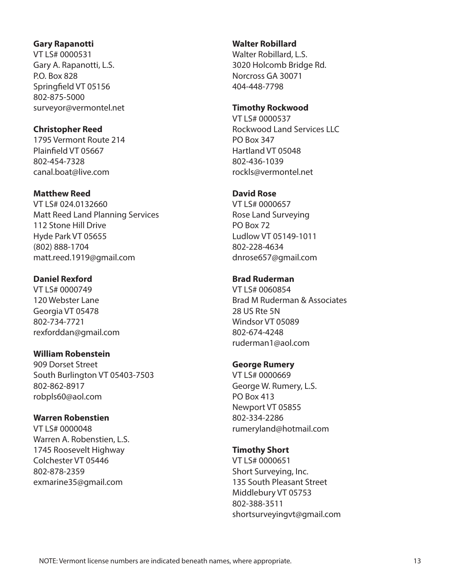#### **Gary Rapanotti**

VT LS# 0000531 Gary A. Rapanotti, L.S. P.O. Box 828 Springfield VT 05156 802-875-5000 surveyor@vermontel.net

## **Christopher Reed**

1795 Vermont Route 214 Plainfield VT 05667 802-454-7328 canal.boat@live.com

#### **Matthew Reed**

VT LS# 024.0132660 Matt Reed Land Planning Services 112 Stone Hill Drive Hyde Park VT 05655 (802) 888-1704 matt.reed.1919@gmail.com

## **Daniel Rexford**

VT LS# 0000749 120 Webster Lane Georgia VT 05478 802-734-7721 rexforddan@gmail.com

## **William Robenstein**

909 Dorset Street South Burlington VT 05403-7503 802-862-8917 robpls60@aol.com

## **Warren Robenstien**

VT LS# 0000048 Warren A. Robenstien, L.S. 1745 Roosevelt Highway Colchester VT 05446 802-878-2359 exmarine35@gmail.com

## **Walter Robillard**

Walter Robillard, L.S. 3020 Holcomb Bridge Rd. Norcross GA 30071 404-448-7798

#### **Timothy Rockwood**

VT LS# 0000537 Rockwood Land Services LLC PO Box 347 Hartland VT 05048 802-436-1039 rockls@vermontel.net

# **David Rose**

VT LS# 0000657 Rose Land Surveying PO Box 72 Ludlow VT 05149-1011 802-228-4634 dnrose657@gmail.com

## **Brad Ruderman**

VT LS# 0060854 Brad M Ruderman & Associates 28 US Rte 5N Windsor VT 05089 802-674-4248 ruderman1@aol.com

## **George Rumery**

VT LS# 0000669 George W. Rumery, L.S. PO Box 413 Newport VT 05855 802-334-2286 rumeryland@hotmail.com

# **Timothy Short**

VT LS# 0000651 Short Surveying, Inc. 135 South Pleasant Street Middlebury VT 05753 802-388-3511 shortsurveyingvt@gmail.com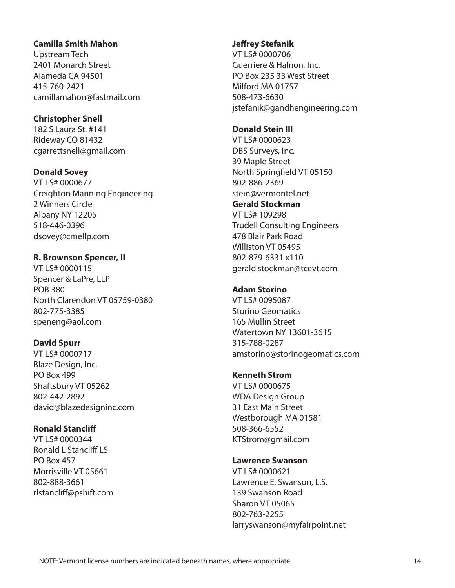#### **Camilla Smith Mahon**

Upstream Tech 2401 Monarch Street Alameda CA 94501 415-760-2421 camillamahon@fastmail.com

## **Christopher Snell**

182 S Laura St. #141 Rideway CO 81432 cgarrettsnell@gmail.com

## **Donald Sovey**

VT LS# 0000677 Creighton Manning Engineering 2 Winners Circle Albany NY 12205 518-446-0396 dsovey@cmellp.com

# **R. Brownson Spencer, II**

VT LS# 0000115 Spencer & LaPre, LLP POB 380 North Clarendon VT 05759-0380 802-775-3385 speneng@aol.com

## **David Spurr**

VT LS# 0000717 Blaze Design, Inc. PO Box 499 Shaftsbury VT 05262 802-442-2892 david@blazedesigninc.com

## **Ronald Stancliff**

VT LS# 0000344 Ronald L Stancliff LS PO Box 457 Morrisville VT 05661 802-888-3661 rlstancliff@pshift.com

## **Jeffrey Stefanik**

VT LS# 0000706 Guerriere & Halnon, Inc. PO Box 235 33 West Street Milford MA 01757 508-473-6630 jstefanik@gandhengineering.com

#### **Donald Stein III**

VT LS# 0000623 DBS Surveys, Inc. 39 Maple Street North Springfield VT 05150 802-886-2369 stein@vermontel.net **Gerald Stockman** VT LS# 109298 Trudell Consulting Engineers 478 Blair Park Road Williston VT 05495 802-879-6331 x110 gerald.stockman@tcevt.com

# **Adam Storino**

VT LS# 0095087 Storino Geomatics 165 Mullin Street Watertown NY 13601-3615 315-788-0287 amstorino@storinogeomatics.com

## **Kenneth Strom**

VT LS# 0000675 WDA Design Group 31 East Main Street Westborough MA 01581 508-366-6552 KTStrom@gmail.com

#### **Lawrence Swanson**

VT LS# 0000621 Lawrence E. Swanson, L.S. 139 Swanson Road Sharon VT 05065 802-763-2255 larryswanson@myfairpoint.net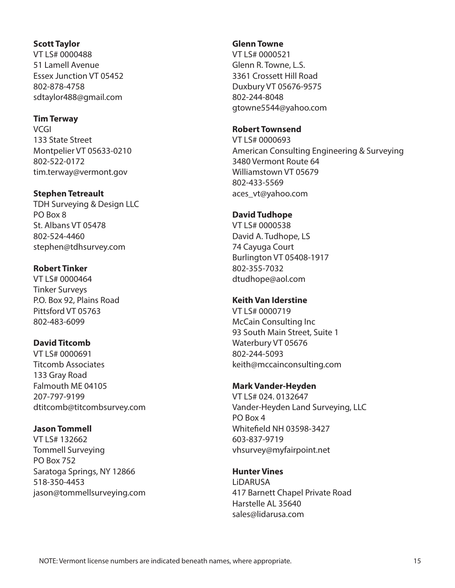#### **Scott Taylor**

VT LS# 0000488 51 Lamell Avenue Essex Junction VT 05452 802-878-4758 sdtaylor488@gmail.com

#### **Tim Terway**

**VCGI** 133 State Street Montpelier VT 05633-0210 802-522-0172 tim.terway@vermont.gov

#### **Stephen Tetreault**

TDH Surveying & Design LLC PO Box 8 St. Albans VT 05478 802-524-4460 stephen@tdhsurvey.com

## **Robert Tinker**

VT LS# 0000464 Tinker Surveys P.O. Box 92, Plains Road Pittsford VT 05763 802-483-6099

# **David Titcomb**

VT LS# 0000691 Titcomb Associates 133 Gray Road Falmouth ME 04105 207-797-9199 dtitcomb@titcombsurvey.com

## **Jason Tommell**

VT LS# 132662 Tommell Surveying PO Box 752 Saratoga Springs, NY 12866 518-350-4453 jason@tommellsurveying.com

#### **Glenn Towne**

VT LS# 0000521 Glenn R. Towne, L.S. 3361 Crossett Hill Road Duxbury VT 05676-9575 802-244-8048 gtowne5544@yahoo.com

#### **Robert Townsend**

VT LS# 0000693 American Consulting Engineering & Surveying 3480 Vermont Route 64 Williamstown VT 05679 802-433-5569 aces\_vt@yahoo.com

## **David Tudhope**

VT LS# 0000538 David A. Tudhope, LS 74 Cayuga Court Burlington VT 05408-1917 802-355-7032 dtudhope@aol.com

## **Keith Van Iderstine**

VT LS# 0000719 McCain Consulting Inc 93 South Main Street, Suite 1 Waterbury VT 05676 802-244-5093 keith@mccainconsulting.com

# **Mark Vander-Heyden**

VT LS# 024. 0132647 Vander-Heyden Land Surveying, LLC PO Box 4 Whitefield NH 03598-3427 603-837-9719 vhsurvey@myfairpoint.net

# **Hunter Vines**

LiDARUSA 417 Barnett Chapel Private Road Harstelle AL 35640 sales@lidarusa.com